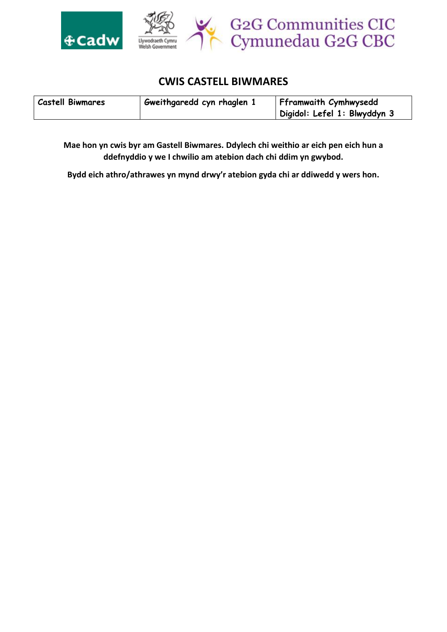

## **CWIS CASTELL BIWMARES**

| <b>Castell Biwmares</b> | Gweithgaredd cyn rhaglen 1 | Fframwaith Cymhwysedd        |
|-------------------------|----------------------------|------------------------------|
|                         |                            | Digidol: Lefel 1: Blwyddyn 3 |

**Mae hon yn cwis byr am Gastell Biwmares. Ddylech chi weithio ar eich pen eich hun a ddefnyddio y we I chwilio am atebion dach chi ddim yn gwybod.** 

**Bydd eich athro/athrawes yn mynd drwy'r atebion gyda chi ar ddiwedd y wers hon.**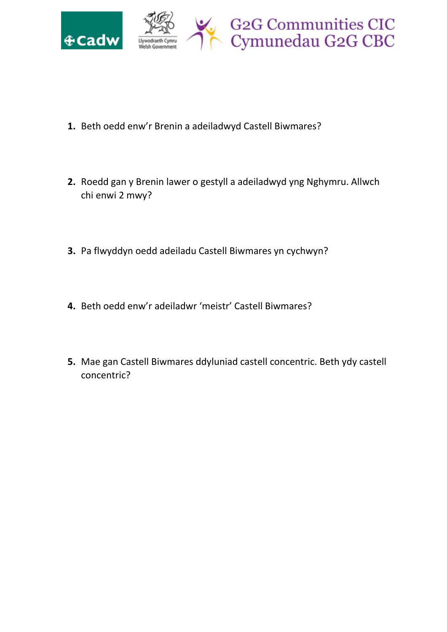

- **1.** Beth oedd enw'r Brenin a adeiladwyd Castell Biwmares?
- **2.** Roedd gan y Brenin lawer o gestyll a adeiladwyd yng Nghymru. Allwch chi enwi 2 mwy?
- **3.** Pa flwyddyn oedd adeiladu Castell Biwmares yn cychwyn?
- **4.** Beth oedd enw'r adeiladwr 'meistr' Castell Biwmares?
- **5.** Mae gan Castell Biwmares ddyluniad castell concentric. Beth ydy castell concentric?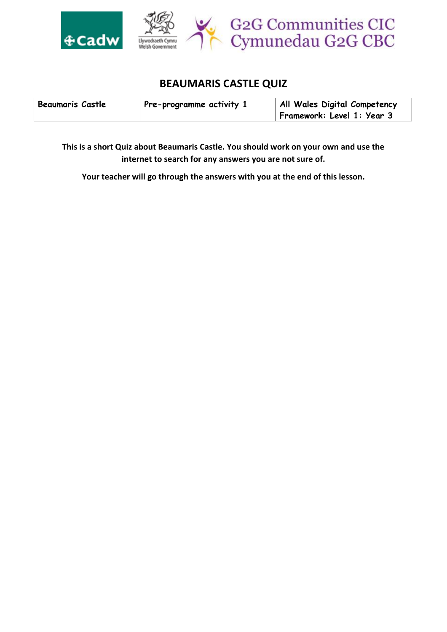

## **BEAUMARIS CASTLE QUIZ**

| <b>Beaumaris Castle</b> | Pre-programme activity 1 | All Wales Digital Competency |
|-------------------------|--------------------------|------------------------------|
|                         |                          | Framework: Level 1: Year 3   |

**This is a short Quiz about Beaumaris Castle. You should work on your own and use the internet to search for any answers you are not sure of.**

**Your teacher will go through the answers with you at the end of this lesson.**